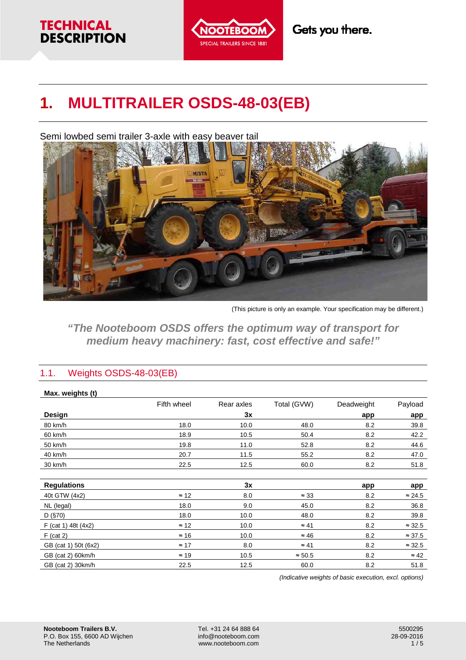## **TECHNICAL DESCRIPTION**



# **1. MULTITRAILER OSDS-48-03(EB)**

Semi lowbed semi trailer 3-axle with easy beaver tail



(This picture is only an example. Your specification may be different.)

**"The Nooteboom OSDS offers the optimum way of transport for medium heavy machinery: fast, cost effective and safe!"**

## 1.1. Weights OSDS-48-03(EB)

| Max. weights (t)      |              |            |                |            |                |
|-----------------------|--------------|------------|----------------|------------|----------------|
|                       | Fifth wheel  | Rear axles | Total (GVW)    | Deadweight | Payload        |
| Design                |              | 3x         |                | app        | app            |
| 80 km/h               | 18.0         | 10.0       | 48.0           | 8.2        | 39.8           |
| 60 km/h               | 18.9         | 10.5       | 50.4           | 8.2        | 42.2           |
| 50 km/h               | 19.8         | 11.0       | 52.8           | 8.2        | 44.6           |
| 40 km/h               | 20.7         | 11.5       | 55.2           | 8.2        | 47.0           |
| 30 km/h               | 22.5         | 12.5       | 60.0           | 8.2        | 51.8           |
|                       |              |            |                |            |                |
| <b>Regulations</b>    |              | 3x         |                | app        | app            |
| 40t GTW (4x2)         | $\approx$ 12 | 8.0        | $\approx 33$   | 8.2        | $\approx$ 24.5 |
| NL (legal)            | 18.0         | 9.0        | 45.0           | 8.2        | 36.8           |
| D (§70)               | 18.0         | 10.0       | 48.0           | 8.2        | 39.8           |
| $F$ (cat 1) 48t (4x2) | $\approx$ 12 | 10.0       | $\approx 41$   | 8.2        | $\approx$ 32.5 |
| $F$ (cat 2)           | $\approx$ 16 | 10.0       | $\approx 46$   | 8.2        | $\approx$ 37.5 |
| GB (cat 1) 50t (6x2)  | $\approx$ 17 | 8.0        | $\approx 41$   | 8.2        | $\approx$ 32.5 |
| GB (cat 2) 60km/h     | $\approx$ 19 | 10.5       | $\approx 50.5$ | 8.2        | $\approx 42$   |
| GB (cat 2) 30km/h     | 22.5         | 12.5       | 60.0           | 8.2        | 51.8           |

(Indicative weights of basic execution, excl. options)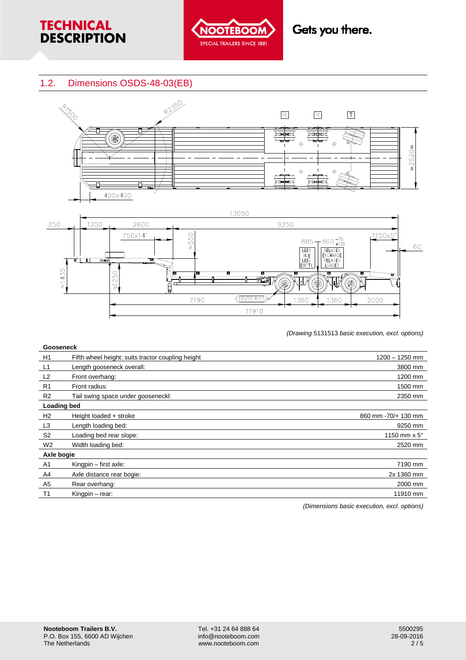



## 1.2. Dimensions OSDS-48-03(EB)





(Drawing 5131513 basic execution, excl. options)

| <b>Gooseneck</b>   |                                                   |                               |  |  |
|--------------------|---------------------------------------------------|-------------------------------|--|--|
| H1                 | Fifth wheel height: suits tractor coupling height | $1200 - 1250$ mm              |  |  |
| L1                 | Length gooseneck overall:                         | 3800 mm                       |  |  |
| L <sub>2</sub>     | Front overhang:                                   | 1200 mm                       |  |  |
| R <sub>1</sub>     | Front radius:                                     | 1500 mm                       |  |  |
| R <sub>2</sub>     | Tail swing space under gooseneckl:                | 2350 mm                       |  |  |
| <b>Loading bed</b> |                                                   |                               |  |  |
| H <sub>2</sub>     | Height loaded + stroke                            | 860 mm - 70/+ 130 mm          |  |  |
| L <sub>3</sub>     | Length loading bed:                               | 9250 mm                       |  |  |
| S <sub>2</sub>     | Loading bed rear slope:                           | 1150 mm $\times$ 5 $^{\circ}$ |  |  |
| W <sub>2</sub>     | Width loading bed:                                | 2520 mm                       |  |  |
| Axle bogie         |                                                   |                               |  |  |
| A <sub>1</sub>     | Kingpin $-$ first axle:                           | 7190 mm                       |  |  |
| A4                 | Axle distance rear bogie:                         | 2x 1360 mm                    |  |  |
| A5                 | Rear overhang:                                    | 2000 mm                       |  |  |
| T <sub>1</sub>     | Kingpin - rear:                                   | 11910 mm                      |  |  |

(Dimensions basic execution, excl. options)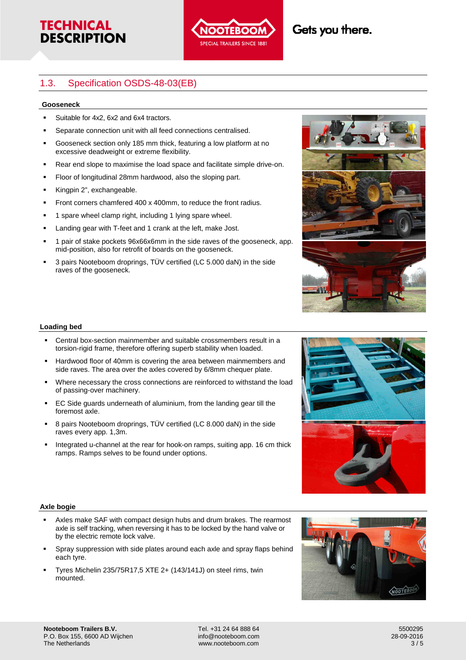



## Gets you there.

## 1.3. Specification OSDS-48-03(EB)

#### **Gooseneck**

- Suitable for 4x2, 6x2 and 6x4 tractors.
- Separate connection unit with all feed connections centralised.
- Gooseneck section only 185 mm thick, featuring a low platform at no excessive deadweight or extreme flexibility.
- **Rear end slope to maximise the load space and facilitate simple drive-on.**
- Floor of longitudinal 28mm hardwood, also the sloping part.
- Kingpin 2", exchangeable.
- Front corners chamfered 400 x 400mm, to reduce the front radius.
- 1 spare wheel clamp right, including 1 lying spare wheel.
- Landing gear with T-feet and 1 crank at the left, make Jost.
- 1 pair of stake pockets 96x66x6mm in the side raves of the gooseneck, app. mid-position, also for retrofit of boards on the gooseneck.
- 3 pairs Nooteboom droprings, TÜV certified (LC 5.000 daN) in the side raves of the gooseneck.



#### **Loading bed**

- Central box-section mainmember and suitable crossmembers result in a torsion-rigid frame, therefore offering superb stability when loaded.
- Hardwood floor of 40mm is covering the area between mainmembers and side raves. The area over the axles covered by 6/8mm chequer plate.
- Where necessary the cross connections are reinforced to withstand the load of passing-over machinery.
- EC Side guards underneath of aluminium, from the landing gear till the foremost axle.
- 8 pairs Nooteboom droprings, TÜV certified (LC 8.000 daN) in the side raves every app. 1,3m.
- Integrated u-channel at the rear for hook-on ramps, suiting app. 16 cm thick ramps. Ramps selves to be found under options.



#### **Axle bogie**

- Axles make SAF with compact design hubs and drum brakes. The rearmost axle is self tracking, when reversing it has to be locked by the hand valve or by the electric remote lock valve.
- Spray suppression with side plates around each axle and spray flaps behind each tyre.
- Tyres Michelin 235/75R17,5 XTE 2+ (143/141J) on steel rims, twin mounted.

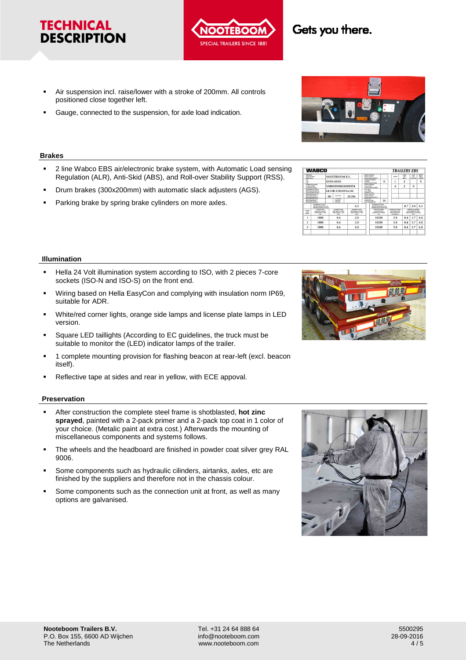#### **Nooteboom Trailers B.V.**  P.O. Box 155, 6600 AD Wijchen The Netherlands

- Air suspension incl. raise/lower with a stroke of 200mm. All controls positioned close together left.
- Gauge, connected to the suspension, for axle load indication.

#### **Brakes**

**TECHNICAL DESCRIPTION** 

- 2 line Wabco EBS air/electronic brake system, with Automatic Load sensing Regulation (ALR), Anti-Skid (ABS), and Roll-over Stability Support (RSS).
- Drum brakes (300x200mm) with automatic slack adjusters (AGS).
- Parking brake by spring brake cylinders on more axles.

#### **Illumination**

- Hella 24 Volt illumination system according to ISO, with 2 pieces 7-core sockets (ISO-N and ISO-S) on the front end.
- Wiring based on Hella EasyCon and complying with insulation norm IP69, suitable for ADR.
- White/red corner lights, orange side lamps and license plate lamps in LED version.
- Square LED taillights (According to EC guidelines, the truck must be suitable to monitor the (LED) indicator lamps of the trailer.
- **1** complete mounting provision for flashing beacon at rear-left (excl. beacon itself).
- Reflective tape at sides and rear in yellow, with ECE appoval.

#### **Preservation**

- After construction the complete steel frame is shotblasted, **hot zinc sprayed**, painted with a 2-pack primer and a 2-pack top coat in 1 color of your choice. (Metalic paint at extra cost.) Afterwards the mounting of miscellaneous components and systems follows.
- The wheels and the headboard are finished in powder coat silver grey RAL 9006.
- Some components such as hydraulic cilinders, airtanks, axles, etc are finished by the suppliers and therefore not in the chassis colour.
- Some components such as the connection unit at front, as well as many options are galvanised.









**TRAILERS FRS** 

 $\overline{\mathbf{x}}$  $\overline{\mathbf{2}}$ 

 $0.7$  2.0 6.5  $0.4$   $1.7$  68  $\frac{1}{5.0}$ 



Gets you there.

**WABCO** 

NOOTEBOOM B.V.

F4-13R-110529/Fxt 04 80

 $\frac{0}{0}$ 

 $2S/2M$ 

DS-48-03 XMR0SD000G0000554